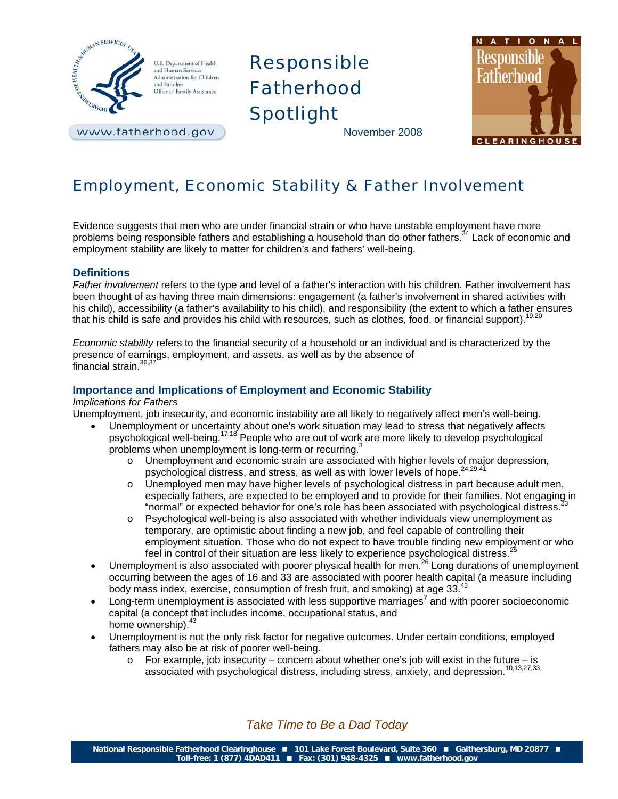

U.S. Department of Health and Human Services Administration for Children and Families Office of Family Assistance

www.fatherhood.gov

# Responsible Fatherhood Spotlight

ATION Responsible Fatherhood **CLEARING** 

November 2008

## Employment, Economic Stability & Father Involvement

Evidence suggests that men who are under financial strain or who have unstable employment have more problems being responsible fathers and establishing a household than do other fathers.<sup>34</sup> Lack of economic and employment stability are likely to matter for children's and fathers' well-being.

## **Definitions**

*Father involvement* refers to the type and level of a father's interaction with his children. Father involvement has been thought of as having three main dimensions: engagement (a father's involvement in shared activities with his child), accessibility (a father's availability to his child), and responsibility (the extent to which a father ensures that his child is safe and provides his child with resources, such as clothes, food, or financial support).<sup>19,20</sup>

*Economic stability* refers to the financial security of a household or an individual and is characterized by the presence of earnings, employment, and assets, as well as by the absence of financial strain.<sup>36,37</sup>

## **Importance and Implications of Employment and Economic Stability**

## *Implications for Fathers*

Unemployment, job insecurity, and economic instability are all likely to negatively affect men's well-being.

- Unemployment or uncertainty about one's work situation may lead to stress that negatively affects psychological well-being.17,18 People who are out of work are more likely to develop psychological problems when unemployment is long-term or recurring. $3$ 
	- o Unemployment and economic strain are associated with higher levels of major depression, psychological distress, and stress, as well as with lower levels of hope.<sup>24,29,4</sup>
	- o Unemployed men may have higher levels of psychological distress in part because adult men, especially fathers, are expected to be employed and to provide for their families. Not engaging in "normal" or expected behavior for one's role has been associated with psychological distress.
	- o Psychological well-being is also associated with whether individuals view unemployment as temporary, are optimistic about finding a new job, and feel capable of controlling their employment situation. Those who do not expect to have trouble finding new employment or who feel in control of their situation are less likely to experience psychological distress.<sup>2</sup>
- Unemployment is also associated with poorer physical health for men.<sup>26</sup> Long durations of unemployment occurring between the ages of 16 and 33 are associated with poorer health capital (a measure including body mass index, exercise, consumption of fresh fruit, and smoking) at age 33.<sup>43</sup>
- $\bullet$  Long-term unemployment is associated with less supportive marriages<sup>7</sup> and with poorer socioeconomic capital (a concept that includes income, occupational status, and home ownership). $43$
- Unemployment is not the only risk factor for negative outcomes. Under certain conditions, employed fathers may also be at risk of poorer well-being.
	- $\circ$  For example, job insecurity concern about whether one's job will exist in the future is associated with psychological distress, including stress, anxiety, and depression.<sup>10,13,27,33</sup>

*Take Time to Be a Dad Today*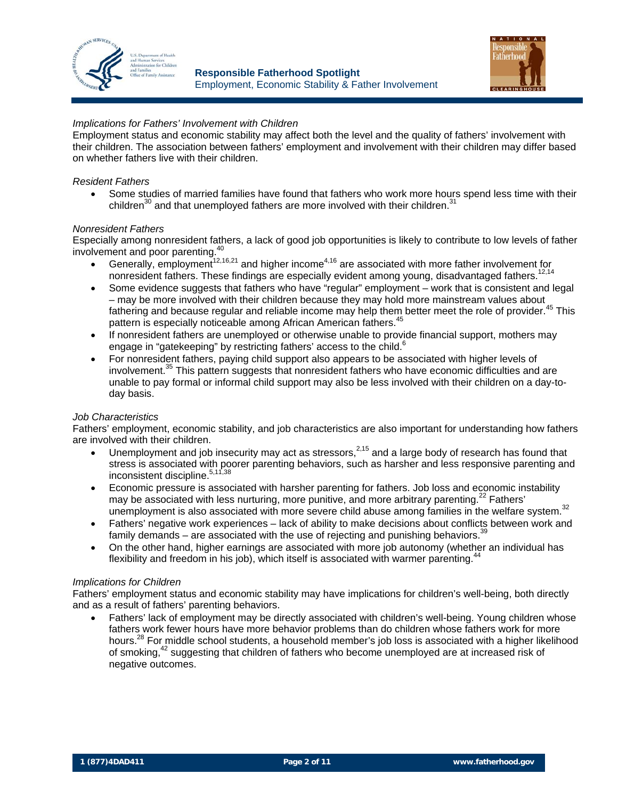



## *Implications for Fathers' Involvement with Children*

Employment status and economic stability may affect both the level and the quality of fathers' involvement with their children. The association between fathers' employment and involvement with their children may differ based on whether fathers live with their children.

### *Resident Fathers*

Some studies of married families have found that fathers who work more hours spend less time with their children $^{30}$  and that unemployed fathers are more involved with their children.<sup>31</sup>

#### *Nonresident Fathers*

Especially among nonresident fathers, a lack of good job opportunities is likely to contribute to low levels of father involvement and poor parenting.<sup>40</sup>

- Generally, employment<sup>12,16,21</sup> and higher income<sup>4,16</sup> are associated with more father involvement for nonresident fathers. These findings are especially evident among young, disadvantaged fathers.<sup>12,14</sup>
- Some evidence suggests that fathers who have "regular" employment work that is consistent and legal – may be more involved with their children because they may hold more mainstream values about fathering and because regular and reliable income may help them better meet the role of provider.<sup>45</sup> This pattern is especially noticeable among African American fathers.<sup>45</sup>
- If nonresident fathers are unemployed or otherwise unable to provide financial support, mothers may engage in "gatekeeping" by restricting fathers' access to the child. $6$
- For nonresident fathers, paying child support also appears to be associated with higher levels of involvement.<sup>35</sup> This pattern suggests that nonresident fathers who have economic difficulties and are unable to pay formal or informal child support may also be less involved with their children on a day-today basis.

### *Job Characteristics*

Fathers' employment, economic stability, and job characteristics are also important for understanding how fathers are involved with their children.

- Unemployment and job insecurity may act as stressors, $2,15$  and a large body of research has found that stress is associated with poorer parenting behaviors, such as harsher and less responsive parenting and inconsistent discipline.<sup>5,11,38</sup>
- Economic pressure is associated with harsher parenting for fathers. Job loss and economic instability may be associated with less nurturing, more punitive, and more arbitrary parenting.<sup>22</sup> Fathers' unemployment is also associated with more severe child abuse among families in the welfare system.<sup>32</sup>
- Fathers' negative work experiences lack of ability to make decisions about conflicts between work and family demands – are associated with the use of rejecting and punishing behaviors. $39$
- On the other hand, higher earnings are associated with more job autonomy (whether an individual has flexibility and freedom in his job), which itself is associated with warmer parenting. $44$

#### *Implications for Children*

Fathers' employment status and economic stability may have implications for children's well-being, both directly and as a result of fathers' parenting behaviors.

• Fathers' lack of employment may be directly associated with children's well-being. Young children whose fathers work fewer hours have more behavior problems than do children whose fathers work for more hours.<sup>28</sup> For middle school students, a household member's job loss is associated with a higher likelihood of smoking,42 suggesting that children of fathers who become unemployed are at increased risk of negative outcomes.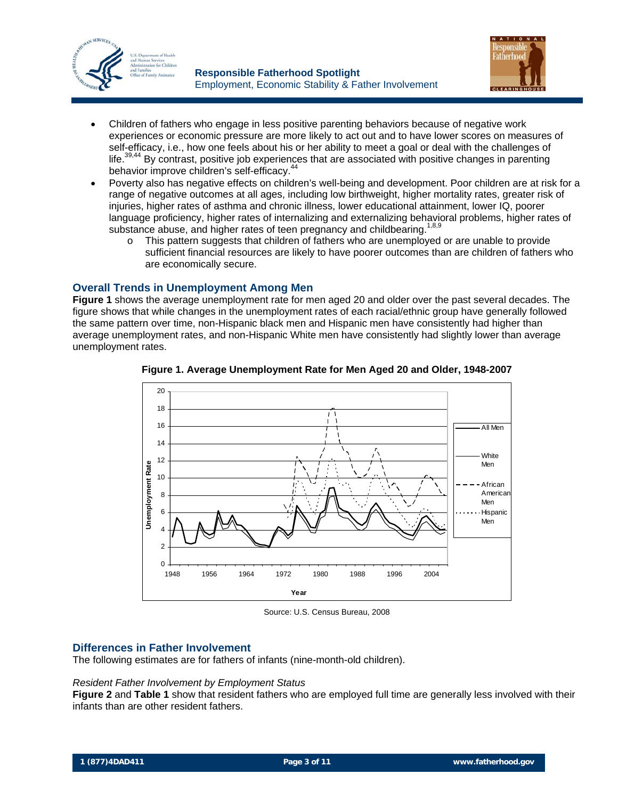



- Children of fathers who engage in less positive parenting behaviors because of negative work experiences or economic pressure are more likely to act out and to have lower scores on measures of self-efficacy, i.e., how one feels about his or her ability to meet a goal or deal with the challenges of life.<sup>39,44</sup> By contrast, positive job experiences that are associated with positive changes in parenting behavior improve children's self-efficacy.<sup>44</sup>
- Poverty also has negative effects on children's well-being and development. Poor children are at risk for a range of negative outcomes at all ages, including low birthweight, higher mortality rates, greater risk of injuries, higher rates of asthma and chronic illness, lower educational attainment, lower IQ, poorer language proficiency, higher rates of internalizing and externalizing behavioral problems, higher rates of substance abuse, and higher rates of teen pregnancy and childbearing.<sup>1,8,9</sup>
	- o This pattern suggests that children of fathers who are unemployed or are unable to provide sufficient financial resources are likely to have poorer outcomes than are children of fathers who are economically secure.

## **Overall Trends in Unemployment Among Men**

**Figure 1** shows the average unemployment rate for men aged 20 and older over the past several decades. The figure shows that while changes in the unemployment rates of each racial/ethnic group have generally followed the same pattern over time, non-Hispanic black men and Hispanic men have consistently had higher than average unemployment rates, and non-Hispanic White men have consistently had slightly lower than average unemployment rates.



**Figure 1. Average Unemployment Rate for Men Aged 20 and Older, 1948-2007** 

Source: U.S. Census Bureau, 2008

## **Differences in Father Involvement**

The following estimates are for fathers of infants (nine-month-old children).

### *Resident Father Involvement by Employment Status*

**Figure 2** and **Table 1** show that resident fathers who are employed full time are generally less involved with their infants than are other resident fathers.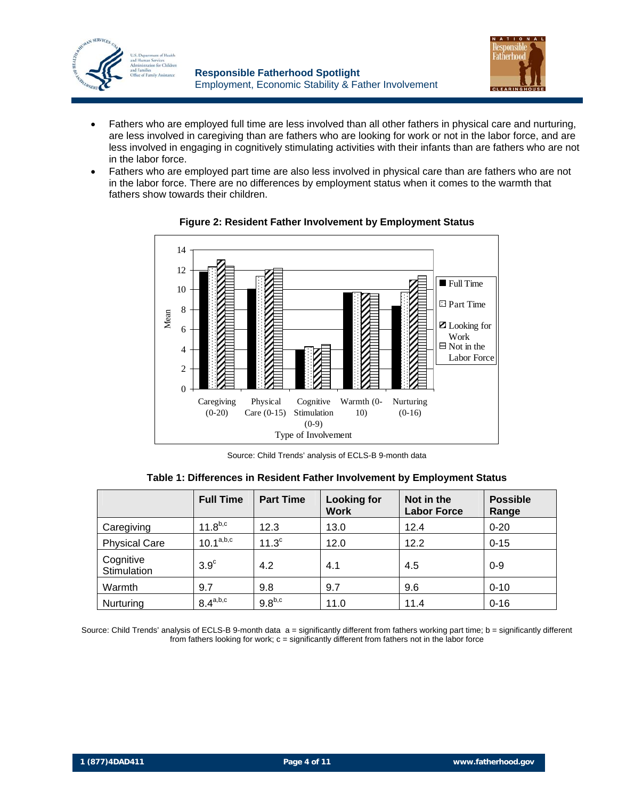



- Fathers who are employed full time are less involved than all other fathers in physical care and nurturing, are less involved in caregiving than are fathers who are looking for work or not in the labor force, and are less involved in engaging in cognitively stimulating activities with their infants than are fathers who are not in the labor force.
- Fathers who are employed part time are also less involved in physical care than are fathers who are not in the labor force. There are no differences by employment status when it comes to the warmth that fathers show towards their children.



**Figure 2: Resident Father Involvement by Employment Status** 

Source: Child Trends' analysis of ECLS-B 9-month data

|                          | <b>Full Time</b>      | <b>Part Time</b>  | <b>Looking for</b><br><b>Work</b> | Not in the<br><b>Labor Force</b> | <b>Possible</b><br>Range |
|--------------------------|-----------------------|-------------------|-----------------------------------|----------------------------------|--------------------------|
| Caregiving               | $11.8^{b,c}$          | 12.3              | 13.0                              | 12.4                             | $0 - 20$                 |
| <b>Physical Care</b>     | $10.1^\mathrm{a,b,c}$ | 11.3 <sup>c</sup> | 12.0                              | 12.2                             | $0 - 15$                 |
| Cognitive<br>Stimulation | $3.9^\circ$           | 4.2               | 4.1                               | 4.5                              | $0 - 9$                  |
| Warmth                   | 9.7                   | 9.8               | 9.7                               | 9.6                              | $0 - 10$                 |
| Nurturing                | $8.4^{a,b,c}$         | $9.8^{b,c}$       | 11.0                              | 11.4                             | $0 - 16$                 |

**Table 1: Differences in Resident Father Involvement by Employment Status** 

Source: Child Trends' analysis of ECLS-B 9-month data a = significantly different from fathers working part time; b = significantly different from fathers looking for work; c = significantly different from fathers not in the labor force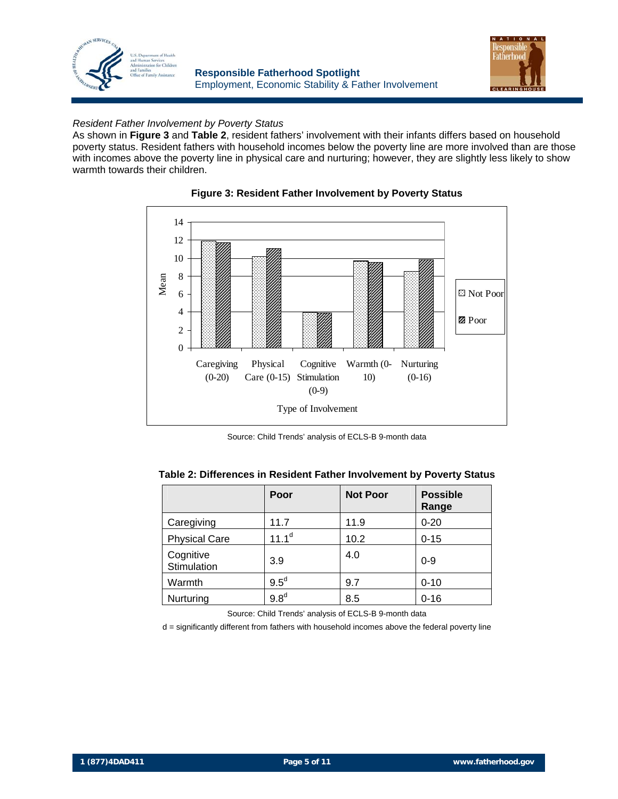



## *Resident Father Involvement by Poverty Status*

As shown in **Figure 3** and **Table 2**, resident fathers' involvement with their infants differs based on household poverty status. Resident fathers with household incomes below the poverty line are more involved than are those with incomes above the poverty line in physical care and nurturing; however, they are slightly less likely to show warmth towards their children.



**Figure 3: Resident Father Involvement by Poverty Status** 

Source: Child Trends' analysis of ECLS-B 9-month data

|                          | Poor             | <b>Not Poor</b> | <b>Possible</b><br>Range |
|--------------------------|------------------|-----------------|--------------------------|
| Caregiving               | 11.7             | 11.9            | $0 - 20$                 |
| <b>Physical Care</b>     | $11.1^d$         | 10.2            | $0 - 15$                 |
| Cognitive<br>Stimulation | 3.9              | 4.0             | $0 - 9$                  |
| Warmth                   | $9.5^d$          | 9.7             | $0 - 10$                 |
| Nurturing                | 9.8 <sup>d</sup> | 8.5             | $0 - 16$                 |

Source: Child Trends' analysis of ECLS-B 9-month data

d = significantly different from fathers with household incomes above the federal poverty line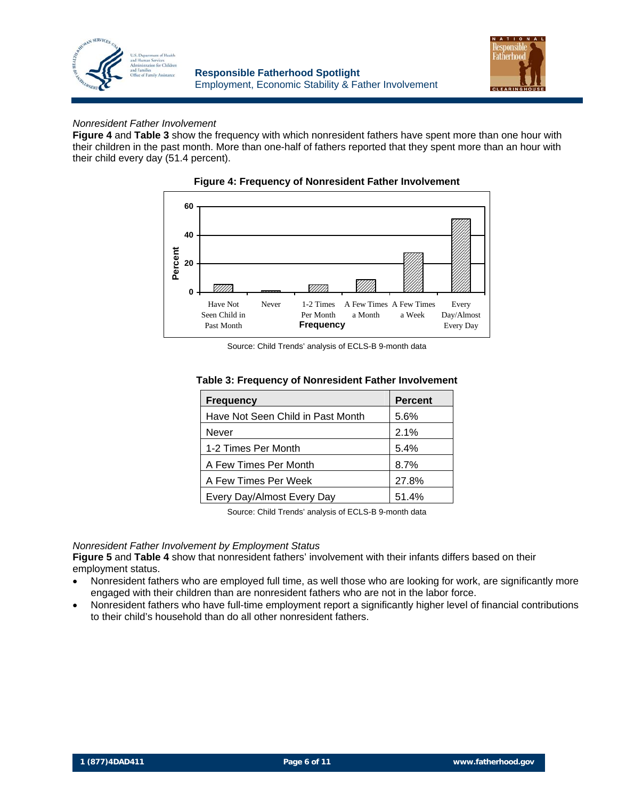



## *Nonresident Father Involvement*

**Figure 4** and **Table 3** show the frequency with which nonresident fathers have spent more than one hour with their children in the past month. More than one-half of fathers reported that they spent more than an hour with their child every day (51.4 percent).





Source: Child Trends' analysis of ECLS-B 9-month data

| Table 3: Frequency of Nonresident Father Involvement |  |
|------------------------------------------------------|--|
|------------------------------------------------------|--|

| <b>Frequency</b>                  | <b>Percent</b> |
|-----------------------------------|----------------|
| Have Not Seen Child in Past Month | 5.6%           |
| Never                             | 2.1%           |
| 1-2 Times Per Month               | 5.4%           |
| A Few Times Per Month             | 8.7%           |
| A Few Times Per Week              | 27.8%          |
| Every Day/Almost Every Day        | 51.4%          |

Source: Child Trends' analysis of ECLS-B 9-month data

### *Nonresident Father Involvement by Employment Status*

**Figure 5** and **Table 4** show that nonresident fathers' involvement with their infants differs based on their employment status.

- Nonresident fathers who are employed full time, as well those who are looking for work, are significantly more engaged with their children than are nonresident fathers who are not in the labor force.
- Nonresident fathers who have full-time employment report a significantly higher level of financial contributions to their child's household than do all other nonresident fathers.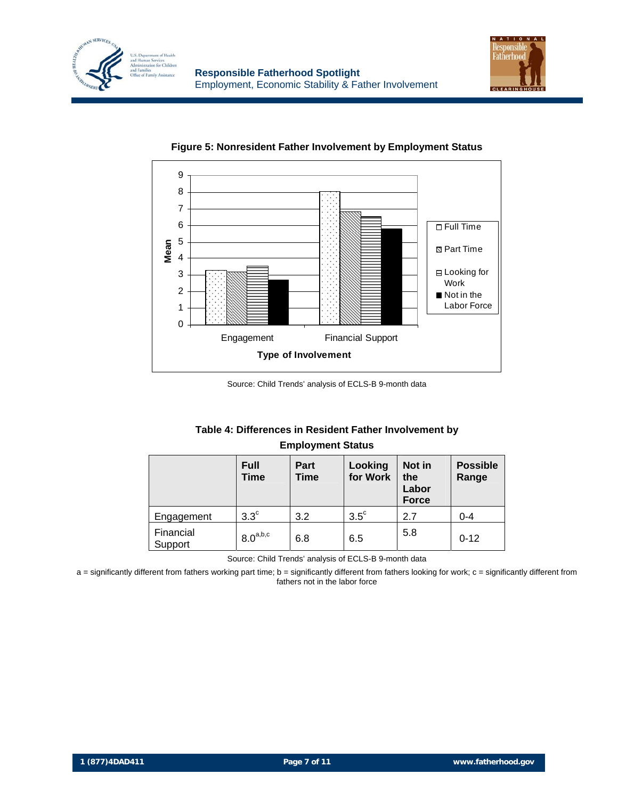





### **Figure 5: Nonresident Father Involvement by Employment Status**

Source: Child Trends' analysis of ECLS-B 9-month data

## **Table 4: Differences in Resident Father Involvement by Employment Status**

|                      | <b>Full</b><br>Time | Part<br>Time | Looking<br>for Work | Not in<br>the<br>Labor<br><b>Force</b> | <b>Possible</b><br>Range |
|----------------------|---------------------|--------------|---------------------|----------------------------------------|--------------------------|
| Engagement           | $3.3^\circ$         | 3.2          | $3.5^{\circ}$       | 2.7                                    | $0 - 4$                  |
| Financial<br>Support | $8.0^{a,b,c}$       | 6.8          | 6.5                 | 5.8                                    | $0 - 12$                 |

Source: Child Trends' analysis of ECLS-B 9-month data

a = significantly different from fathers working part time; b = significantly different from fathers looking for work; c = significantly different from fathers not in the labor force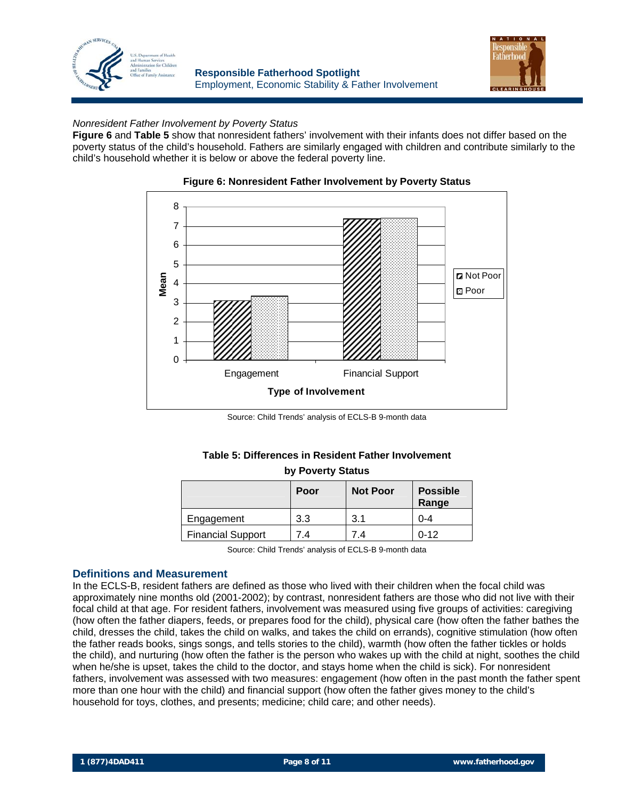



## *Nonresident Father Involvement by Poverty Status*

**Figure 6** and **Table 5** show that nonresident fathers' involvement with their infants does not differ based on the poverty status of the child's household. Fathers are similarly engaged with children and contribute similarly to the child's household whether it is below or above the federal poverty line.



#### **Figure 6: Nonresident Father Involvement by Poverty Status**

Source: Child Trends' analysis of ECLS-B 9-month data

#### **Table 5: Differences in Resident Father Involvement by Poverty Status**

| by Poverty Status        |      |                 |                          |  |
|--------------------------|------|-----------------|--------------------------|--|
|                          | Poor | <b>Not Poor</b> | <b>Possible</b><br>Range |  |
| Engagement               | 3.3  | 3.1             | $0 - 4$                  |  |
| <b>Financial Support</b> | 7.4  | 7.4             | $0 - 12$                 |  |

Source: Child Trends' analysis of ECLS-B 9-month data

### **Definitions and Measurement**

In the ECLS-B, resident fathers are defined as those who lived with their children when the focal child was approximately nine months old (2001-2002); by contrast, nonresident fathers are those who did not live with their focal child at that age. For resident fathers, involvement was measured using five groups of activities: caregiving (how often the father diapers, feeds, or prepares food for the child), physical care (how often the father bathes the child, dresses the child, takes the child on walks, and takes the child on errands), cognitive stimulation (how often the father reads books, sings songs, and tells stories to the child), warmth (how often the father tickles or holds the child), and nurturing (how often the father is the person who wakes up with the child at night, soothes the child when he/she is upset, takes the child to the doctor, and stays home when the child is sick). For nonresident fathers, involvement was assessed with two measures: engagement (how often in the past month the father spent more than one hour with the child) and financial support (how often the father gives money to the child's household for toys, clothes, and presents; medicine; child care; and other needs).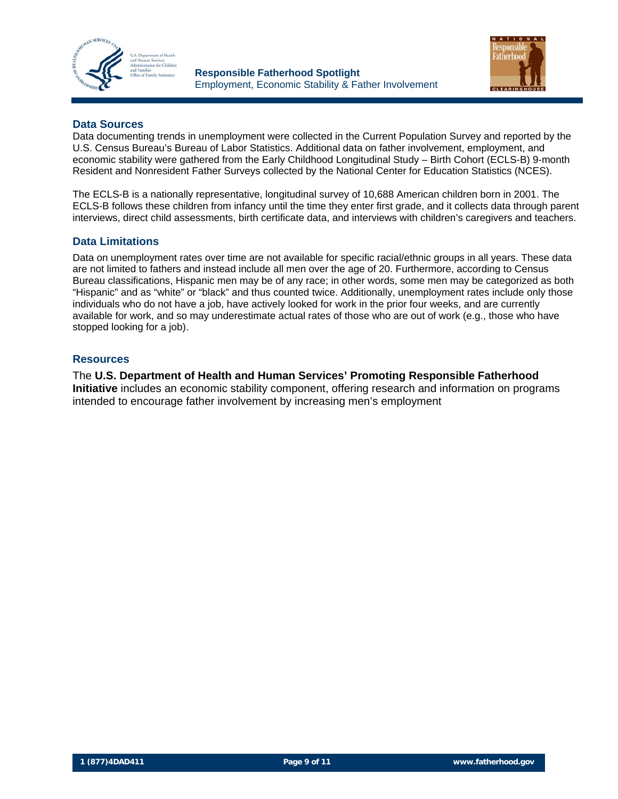



## **Data Sources**

Data documenting trends in unemployment were collected in the Current Population Survey and reported by the U.S. Census Bureau's Bureau of Labor Statistics. Additional data on father involvement, employment, and economic stability were gathered from the Early Childhood Longitudinal Study – Birth Cohort (ECLS-B) 9-month Resident and Nonresident Father Surveys collected by the National Center for Education Statistics (NCES).

The ECLS-B is a nationally representative, longitudinal survey of 10,688 American children born in 2001. The ECLS-B follows these children from infancy until the time they enter first grade, and it collects data through parent interviews, direct child assessments, birth certificate data, and interviews with children's caregivers and teachers.

## **Data Limitations**

Data on unemployment rates over time are not available for specific racial/ethnic groups in all years. These data are not limited to fathers and instead include all men over the age of 20. Furthermore, according to Census Bureau classifications, Hispanic men may be of any race; in other words, some men may be categorized as both "Hispanic" and as "white" or "black" and thus counted twice. Additionally, unemployment rates include only those individuals who do not have a job, have actively looked for work in the prior four weeks, and are currently available for work, and so may underestimate actual rates of those who are out of work (e.g., those who have stopped looking for a job).

### **Resources**

The **U.S. Department of Health and Human Services' Promoting Responsible Fatherhood Initiative** includes an economic stability component, offering research and information on programs intended to encourage father involvement by increasing men's employment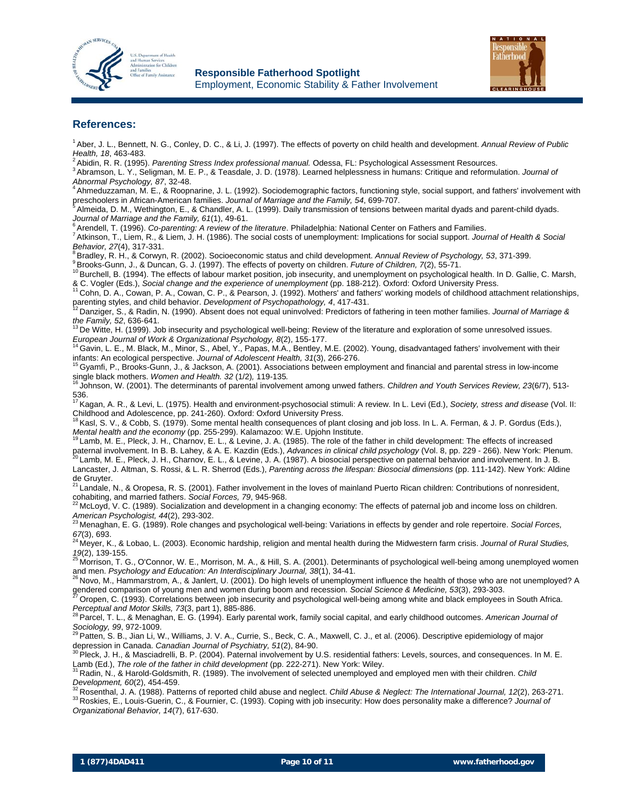



#### **References:**

- 1 Aber, J. L., Bennett, N. G., Conley, D. C., & Li, J. (1997). The effects of poverty on child health and development. *Annual Review of Public*
- 
- *Health, 18*, 463-483.<br><sup>2</sup> Abidin, R. R. (1995). *Parenting Stress Index professional manual.* Odessa, FL: Psychological Assessment Resources.<br><sup>3</sup> Abramson, L. Y., Seligman, M. E. P., & Teasdale, J. D. (1978). Learned help

*Abnormal Psychology, 87, 32-48.*<br>
<sup>4</sup> Ahmeduzzaman, M. E., & Roopnarine, J. L. (1992). Sociodemographic factors, functioning style, social support, and fathers' involvement with preschoolers in African-American families.

 $^5$  Almeida, D. M., Wethington, E., & Chandler, A. L. (1999). Daily transmission of tensions between marital dyads and parent-child dyads.

Journal of Marriage and the Family, 61(1), 49-61.<br><sup>6</sup> Arendell, T. (1996). *Co-parenting: A review of the literature*. Philadelphia: National Center on Fathers and Families.<br><sup>7</sup> Atkinson, T., Liem, R., & Liem, J. H. (1986)

<sup>8</sup> Bradley, R. H., & Corwyn, R. (2002). Socioeconomic status and child development. *Annual Review of Psychology, 53*, 371-399.<br><sup>9</sup> Brooks-Gunn, J., & Duncan, G. J. (1997). The effects of poverty on children. *Future of C* 

& C. Vogler (Eds.), Social change and the experience of unemployment (pp. 188-212). Oxford: Oxford University Press.<br><sup>11</sup> Cohn, D. A., Cowan, P. A., Cowan, C. P., & Pearson, J. (1992). Mothers' and fathers' working models

<sup>2</sup> Danziger, S., & Radin, N. (1990). Absent does not equal uninvolved: Predictors of fathering in teen mother families. Journal of Marriage &

the Family, 52, 636-641.<br><sup>13</sup> De Witte, H. (1999). Job insecurity and psychological well-being: Review of the literature and exploration of some unresolved issues.

*European Journal of Work & Organizational Psychology, 8*(2), 155-177. 14 Gavin, L. E., M. Black, M., Minor, S., Abel, Y., Papas, M.A., Bentley, M.E. (2002). Young, disadvantaged fathers' involvement with their

infants: An ecological perspective. *Journal of Adolescent Health, 31*(3), 266-276.<br><sup>15</sup> Gyamfi, P., Brooks-Gunn, J., & Jackson, A. (2001). Associations between employment and financial and parental stress in low-income<br>si

<sup>16</sup> Johnson, W. (2001). The determinants of parental involvement among unwed fathers. *Children and Youth Services Review, 23*(6/7), 513-

536. 17 Kagan, A. R., & Levi, L. (1975). Health and environment-psychosocial stimuli: A review. In L. Levi (Ed.), *Society, stress and disease* (Vol. II: Childhood and Adolescence, pp. 241-260). Oxford: Oxford University Press.

18 Kasl, S. V., & Cobb, S. (1979). Some mental health consequences of plant closing and job loss. In L. A. Ferman, & J. P. Gordus (Eds.), Mental health and the economy (pp. 255-299). Kalamazoo: W.E. Upjohn Institute.<br><sup>19</sup> Lamb, M. E., Pleck, J. H., Charnov, E. L., & Levine, J. A. (1985). The role of the father in child development: The effects of increased

paternal involvement. In B. B. Lahey, & A. E. Kazdin (Eds.), Advances in clinical child psychology (Vol. 8, pp. 229 - 266). New York: Plenum.<br><sup>20</sup> Lamb, M. E., Pleck, J. H., Charnov, E. L., & Levine, J. A. (1987). A biosoc

Lancaster, J. Altman, S. Rossi, & L. R. Sherrod (Eds.), *Parenting across the lifespan: Biosocial dimensions* (pp. 111-142). New York: Aldine

de Gruyter.<br><sup>21</sup> Landale, N., & Oropesa, R. S. (2001). Father involvement in the loves of mainland Puerto Rican children: Contributions of nonresident,

cohabiting, and married fathers. *Social Forces, 79*, 945-968.<br><sup>22</sup> McLoyd, V. C. (1989). Socialization and development in a changing economy: The effects of paternal job and income loss on children. *American Psychologist, 44*(2), 293-302. 23 Menaghan, E. G. (1989). Role changes and psychological well-being: Variations in effects by gender and role repertoire. *Social Forces,* 

*<sup>67</sup>*(3), 693. 24 Meyer, K., & Lobao, L. (2003). Economic hardship, religion and mental health during the Midwestern farm crisis. *Journal of Rural Studies,* 

*19*(2), 139-155.<br><sup>25</sup> Morrison, T. G., O'Connor, W. E., Morrison, M. A., & Hill, S. A. (2001). Determinants of psychological well-being among unemployed women and men. *Psychology and Education: An Interdisciplinary Journal, 38*(1), 34-41.<br><sup>26</sup> Novo, M., Hammarstrom, A., & Janlert, U. (2001). Do high levels of unemployment influence the health of those who are not unemployed? A

gendered comparison of young men and women during boom and recession. Social Science & Medicine, 53(3), 293-303.<br><sup>27</sup> Oropen, C. (1993). Correlations between job insecurity and psychological well-being among white and blac

*Perceptual and Motor Skills, 73*(3, part 1), 885-886.<br><sup>28</sup> Parcel, T. L., & Menaghan, E. G. (1994). Early parental work, family social capital, and early childhood outcomes. *American Journal of*<br>Sociology, 99, 972-1009.

*Sociology, 99*, 972-1009. 29 Patten, S. B., Jian Li, W., Williams, J. V. A., Currie, S., Beck, C. A., Maxwell, C. J., et al. (2006). Descriptive epidemiology of major

depression in Canada. *Canadian Journal of Psychiatry, 51*(2), 84-90.<br><sup>30</sup> Pleck, J. H., & Masciadrelli, B. P. (2004). Paternal involvement by U.S. residential fathers: Levels, sources, and consequences. In M. E. Lamb (Ed.

Radin, N., & Harold-Goldsmith, R. (1989). The involvement of selected unemployed and employed men with their children. Child

Development, 60(2), 454-459.<br><sup>32</sup> Rosenthal, J. A. (1988). Patterns of reported child abuse and neglect. Child Abuse & Neglect: The International Journal, 12(2), 263-271.<br><sup>33</sup> Roskies, E., Louis-Guerin, C., & Fournier, C. *Organizational Behavior, 14*(7), 617-630.